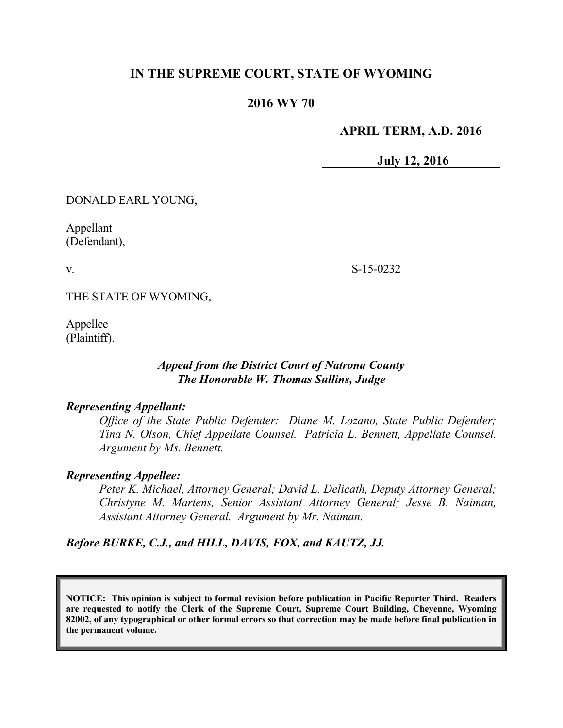# **IN THE SUPREME COURT, STATE OF WYOMING**

# **2016 WY 70**

# **APRIL TERM, A.D. 2016**

**July 12, 2016**

DONALD EARL YOUNG,

Appellant (Defendant),

v.

S-15-0232

THE STATE OF WYOMING,

Appellee (Plaintiff).

## *Appeal from the District Court of Natrona County The Honorable W. Thomas Sullins, Judge*

#### *Representing Appellant:*

*Office of the State Public Defender: Diane M. Lozano, State Public Defender; Tina N. Olson, Chief Appellate Counsel. Patricia L. Bennett, Appellate Counsel. Argument by Ms. Bennett.*

#### *Representing Appellee:*

*Peter K. Michael, Attorney General; David L. Delicath, Deputy Attorney General; Christyne M. Martens, Senior Assistant Attorney General; Jesse B. Naiman, Assistant Attorney General. Argument by Mr. Naiman.*

*Before BURKE, C.J., and HILL, DAVIS, FOX, and KAUTZ, JJ.*

**NOTICE: This opinion is subject to formal revision before publication in Pacific Reporter Third. Readers are requested to notify the Clerk of the Supreme Court, Supreme Court Building, Cheyenne, Wyoming 82002, of any typographical or other formal errors so that correction may be made before final publication in the permanent volume.**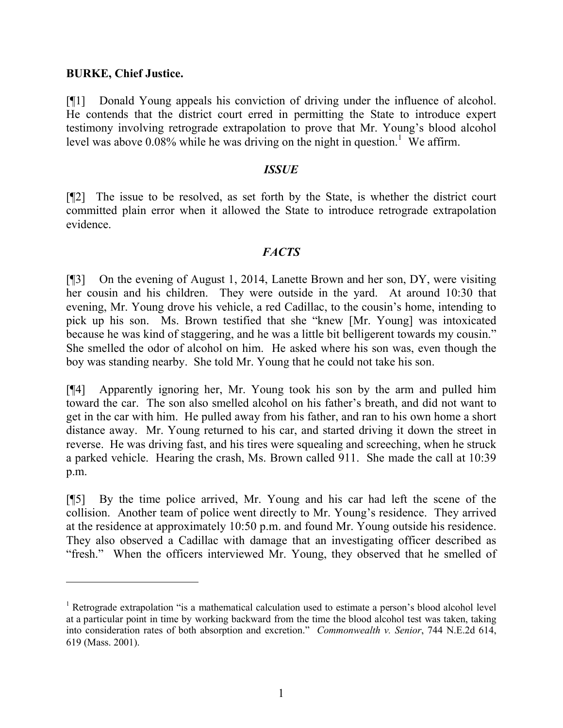### **BURKE, Chief Justice.**

 $\overline{a}$ 

[¶1] Donald Young appeals his conviction of driving under the influence of alcohol. He contends that the district court erred in permitting the State to introduce expert testimony involving retrograde extrapolation to prove that Mr. Young's blood alcohol level was above  $0.08\%$  while he was driving on the night in question.<sup>1</sup> We affirm.

### *ISSUE*

[¶2] The issue to be resolved, as set forth by the State, is whether the district court committed plain error when it allowed the State to introduce retrograde extrapolation evidence.

## *FACTS*

[¶3] On the evening of August 1, 2014, Lanette Brown and her son, DY, were visiting her cousin and his children. They were outside in the yard. At around 10:30 that evening, Mr. Young drove his vehicle, a red Cadillac, to the cousin's home, intending to pick up his son. Ms. Brown testified that she "knew [Mr. Young] was intoxicated because he was kind of staggering, and he was a little bit belligerent towards my cousin." She smelled the odor of alcohol on him. He asked where his son was, even though the boy was standing nearby. She told Mr. Young that he could not take his son.

[¶4] Apparently ignoring her, Mr. Young took his son by the arm and pulled him toward the car. The son also smelled alcohol on his father's breath, and did not want to get in the car with him. He pulled away from his father, and ran to his own home a short distance away. Mr. Young returned to his car, and started driving it down the street in reverse. He was driving fast, and his tires were squealing and screeching, when he struck a parked vehicle. Hearing the crash, Ms. Brown called 911. She made the call at 10:39 p.m.

[¶5] By the time police arrived, Mr. Young and his car had left the scene of the collision. Another team of police went directly to Mr. Young's residence. They arrived at the residence at approximately 10:50 p.m. and found Mr. Young outside his residence. They also observed a Cadillac with damage that an investigating officer described as "fresh." When the officers interviewed Mr. Young, they observed that he smelled of

<sup>&</sup>lt;sup>1</sup> Retrograde extrapolation "is a mathematical calculation used to estimate a person's blood alcohol level at a particular point in time by working backward from the time the blood alcohol test was taken, taking into consideration rates of both absorption and excretion." *Commonwealth v. Senior*, 744 N.E.2d 614, 619 (Mass. 2001).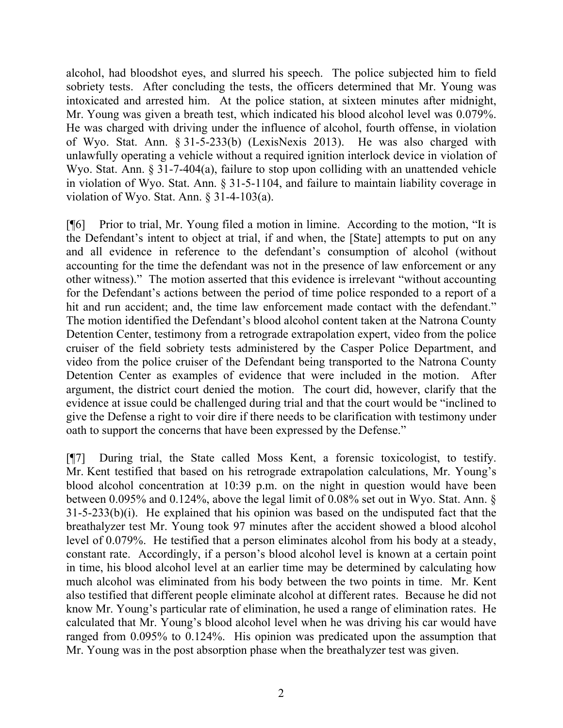alcohol, had bloodshot eyes, and slurred his speech. The police subjected him to field sobriety tests. After concluding the tests, the officers determined that Mr. Young was intoxicated and arrested him. At the police station, at sixteen minutes after midnight, Mr. Young was given a breath test, which indicated his blood alcohol level was 0.079%. He was charged with driving under the influence of alcohol, fourth offense, in violation of Wyo. Stat. Ann. § 31-5-233(b) (LexisNexis 2013). He was also charged with unlawfully operating a vehicle without a required ignition interlock device in violation of Wyo. Stat. Ann. § 31-7-404(a), failure to stop upon colliding with an unattended vehicle in violation of Wyo. Stat. Ann. § 31-5-1104, and failure to maintain liability coverage in violation of Wyo. Stat. Ann. § 31-4-103(a).

[¶6] Prior to trial, Mr. Young filed a motion in limine. According to the motion, "It is the Defendant's intent to object at trial, if and when, the [State] attempts to put on any and all evidence in reference to the defendant's consumption of alcohol (without accounting for the time the defendant was not in the presence of law enforcement or any other witness)." The motion asserted that this evidence is irrelevant "without accounting for the Defendant's actions between the period of time police responded to a report of a hit and run accident; and, the time law enforcement made contact with the defendant." The motion identified the Defendant's blood alcohol content taken at the Natrona County Detention Center, testimony from a retrograde extrapolation expert, video from the police cruiser of the field sobriety tests administered by the Casper Police Department, and video from the police cruiser of the Defendant being transported to the Natrona County Detention Center as examples of evidence that were included in the motion. After argument, the district court denied the motion. The court did, however, clarify that the evidence at issue could be challenged during trial and that the court would be "inclined to give the Defense a right to voir dire if there needs to be clarification with testimony under oath to support the concerns that have been expressed by the Defense."

[¶7] During trial, the State called Moss Kent, a forensic toxicologist, to testify. Mr. Kent testified that based on his retrograde extrapolation calculations, Mr. Young's blood alcohol concentration at 10:39 p.m. on the night in question would have been between 0.095% and 0.124%, above the legal limit of 0.08% set out in Wyo. Stat. Ann. § 31-5-233(b)(i). He explained that his opinion was based on the undisputed fact that the breathalyzer test Mr. Young took 97 minutes after the accident showed a blood alcohol level of 0.079%. He testified that a person eliminates alcohol from his body at a steady, constant rate. Accordingly, if a person's blood alcohol level is known at a certain point in time, his blood alcohol level at an earlier time may be determined by calculating how much alcohol was eliminated from his body between the two points in time. Mr. Kent also testified that different people eliminate alcohol at different rates. Because he did not know Mr. Young's particular rate of elimination, he used a range of elimination rates. He calculated that Mr. Young's blood alcohol level when he was driving his car would have ranged from 0.095% to 0.124%. His opinion was predicated upon the assumption that Mr. Young was in the post absorption phase when the breathalyzer test was given.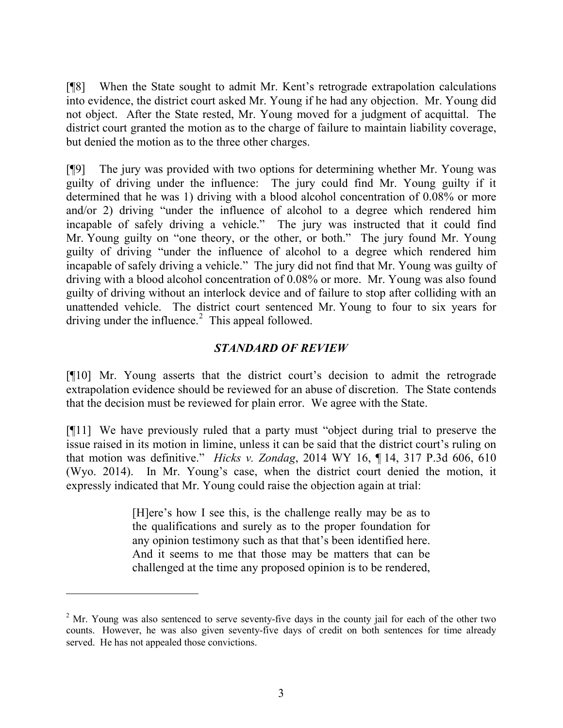[¶8] When the State sought to admit Mr. Kent's retrograde extrapolation calculations into evidence, the district court asked Mr. Young if he had any objection. Mr. Young did not object. After the State rested, Mr. Young moved for a judgment of acquittal. The district court granted the motion as to the charge of failure to maintain liability coverage, but denied the motion as to the three other charges.

[¶9] The jury was provided with two options for determining whether Mr. Young was guilty of driving under the influence: The jury could find Mr. Young guilty if it determined that he was 1) driving with a blood alcohol concentration of 0.08% or more and/or 2) driving "under the influence of alcohol to a degree which rendered him incapable of safely driving a vehicle." The jury was instructed that it could find Mr. Young guilty on "one theory, or the other, or both." The jury found Mr. Young guilty of driving "under the influence of alcohol to a degree which rendered him incapable of safely driving a vehicle." The jury did not find that Mr. Young was guilty of driving with a blood alcohol concentration of 0.08% or more. Mr. Young was also found guilty of driving without an interlock device and of failure to stop after colliding with an unattended vehicle. The district court sentenced Mr. Young to four to six years for driving under the influence.<sup>2</sup> This appeal followed.

# *STANDARD OF REVIEW*

[¶10] Mr. Young asserts that the district court's decision to admit the retrograde extrapolation evidence should be reviewed for an abuse of discretion. The State contends that the decision must be reviewed for plain error. We agree with the State.

[¶11] We have previously ruled that a party must "object during trial to preserve the issue raised in its motion in limine, unless it can be said that the district court's ruling on that motion was definitive." *Hicks v. Zondag*, 2014 WY 16, ¶ 14, 317 P.3d 606, 610 (Wyo. 2014). In Mr. Young's case, when the district court denied the motion, it expressly indicated that Mr. Young could raise the objection again at trial:

> [H]ere's how I see this, is the challenge really may be as to the qualifications and surely as to the proper foundation for any opinion testimony such as that that's been identified here. And it seems to me that those may be matters that can be challenged at the time any proposed opinion is to be rendered,

 $\overline{a}$ 

<sup>&</sup>lt;sup>2</sup> Mr. Young was also sentenced to serve seventy-five days in the county jail for each of the other two counts. However, he was also given seventy-five days of credit on both sentences for time already served. He has not appealed those convictions.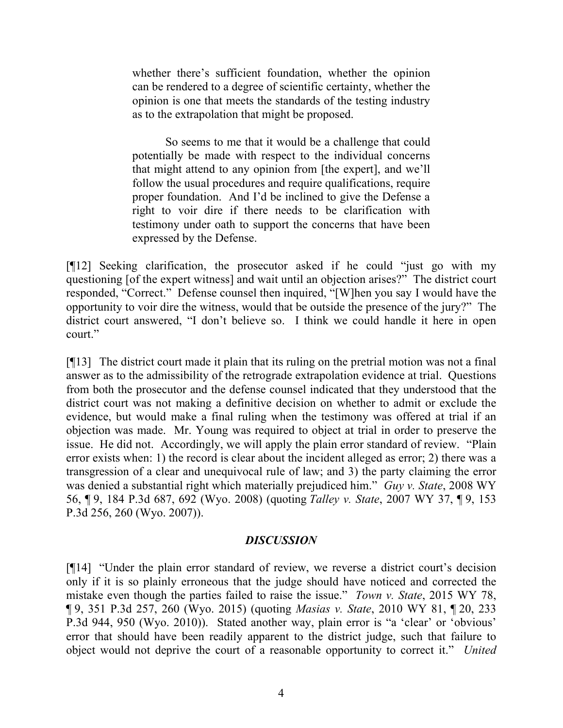whether there's sufficient foundation, whether the opinion can be rendered to a degree of scientific certainty, whether the opinion is one that meets the standards of the testing industry as to the extrapolation that might be proposed.

So seems to me that it would be a challenge that could potentially be made with respect to the individual concerns that might attend to any opinion from [the expert], and we'll follow the usual procedures and require qualifications, require proper foundation. And I'd be inclined to give the Defense a right to voir dire if there needs to be clarification with testimony under oath to support the concerns that have been expressed by the Defense.

[¶12] Seeking clarification, the prosecutor asked if he could "just go with my questioning [of the expert witness] and wait until an objection arises?" The district court responded, "Correct." Defense counsel then inquired, "[W]hen you say I would have the opportunity to voir dire the witness, would that be outside the presence of the jury?" The district court answered, "I don't believe so. I think we could handle it here in open court."

[¶13] The district court made it plain that its ruling on the pretrial motion was not a final answer as to the admissibility of the retrograde extrapolation evidence at trial. Questions from both the prosecutor and the defense counsel indicated that they understood that the district court was not making a definitive decision on whether to admit or exclude the evidence, but would make a final ruling when the testimony was offered at trial if an objection was made. Mr. Young was required to object at trial in order to preserve the issue. He did not. Accordingly, we will apply the plain error standard of review. "Plain error exists when: 1) the record is clear about the incident alleged as error; 2) there was a transgression of a clear and unequivocal rule of law; and 3) the party claiming the error was denied a substantial right which materially prejudiced him." *Guy v. State*, 2008 WY 56, ¶ 9, 184 P.3d 687, 692 (Wyo. 2008) (quoting *Talley v. State*, 2007 WY 37, ¶ 9, 153 P.3d 256, 260 (Wyo. 2007)).

# *DISCUSSION*

[¶14] "Under the plain error standard of review, we reverse a district court's decision only if it is so plainly erroneous that the judge should have noticed and corrected the mistake even though the parties failed to raise the issue." *Town v. State*, 2015 WY 78, ¶ 9, 351 P.3d 257, 260 (Wyo. 2015) (quoting *Masias v. State*, 2010 WY 81, ¶ 20, 233 P.3d 944, 950 (Wyo. 2010)). Stated another way, plain error is "a 'clear' or 'obvious' error that should have been readily apparent to the district judge, such that failure to object would not deprive the court of a reasonable opportunity to correct it." *United*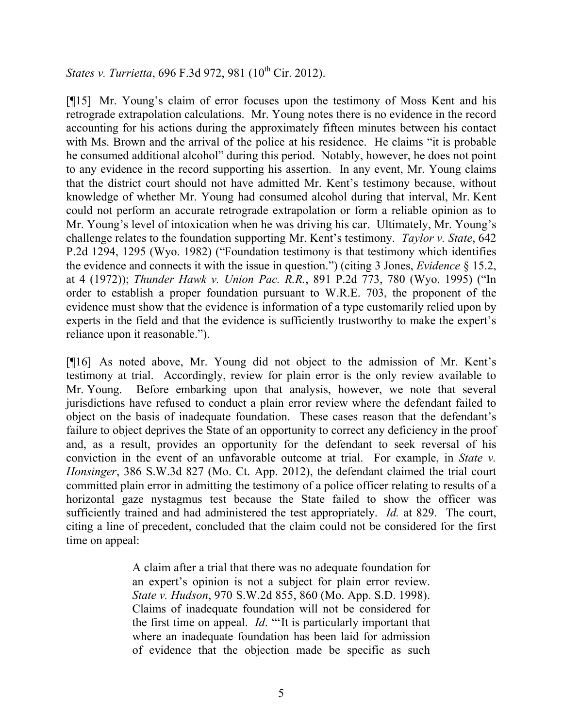*States v. Turrietta, 696 F.3d 972, 981 (10<sup>th</sup> Cir. 2012).* 

[¶15] Mr. Young's claim of error focuses upon the testimony of Moss Kent and his retrograde extrapolation calculations. Mr. Young notes there is no evidence in the record accounting for his actions during the approximately fifteen minutes between his contact with Ms. Brown and the arrival of the police at his residence. He claims "it is probable he consumed additional alcohol" during this period. Notably, however, he does not point to any evidence in the record supporting his assertion. In any event, Mr. Young claims that the district court should not have admitted Mr. Kent's testimony because, without knowledge of whether Mr. Young had consumed alcohol during that interval, Mr. Kent could not perform an accurate retrograde extrapolation or form a reliable opinion as to Mr. Young's level of intoxication when he was driving his car. Ultimately, Mr. Young's challenge relates to the foundation supporting Mr. Kent's testimony. *Taylor v. State*, 642 P.2d 1294, 1295 (Wyo. 1982) ("Foundation testimony is that testimony which identifies the evidence and connects it with the issue in question.") (citing 3 Jones, *Evidence* § 15.2, at 4 (1972)); *Thunder Hawk v. Union Pac. R.R.*, 891 P.2d 773, 780 (Wyo. 1995) ("In order to establish a proper foundation pursuant to W.R.E. 703, the proponent of the evidence must show that the evidence is information of a type customarily relied upon by experts in the field and that the evidence is sufficiently trustworthy to make the expert's reliance upon it reasonable.").

[¶16] As noted above, Mr. Young did not object to the admission of Mr. Kent's testimony at trial. Accordingly, review for plain error is the only review available to Mr. Young. Before embarking upon that analysis, however, we note that several jurisdictions have refused to conduct a plain error review where the defendant failed to object on the basis of inadequate foundation. These cases reason that the defendant's failure to object deprives the State of an opportunity to correct any deficiency in the proof and, as a result, provides an opportunity for the defendant to seek reversal of his conviction in the event of an unfavorable outcome at trial. For example, in *State v. Honsinger*, 386 S.W.3d 827 (Mo. Ct. App. 2012), the defendant claimed the trial court committed plain error in admitting the testimony of a police officer relating to results of a horizontal gaze nystagmus test because the State failed to show the officer was sufficiently trained and had administered the test appropriately. *Id.* at 829. The court, citing a line of precedent, concluded that the claim could not be considered for the first time on appeal:

> A claim after a trial that there was no adequate foundation for an expert's opinion is not a subject for plain error review. *State v. Hudson*, 970 S.W.2d 855, 860 (Mo. App. S.D. 1998). Claims of inadequate foundation will not be considered for the first time on appeal. *Id*. "'It is particularly important that where an inadequate foundation has been laid for admission of evidence that the objection made be specific as such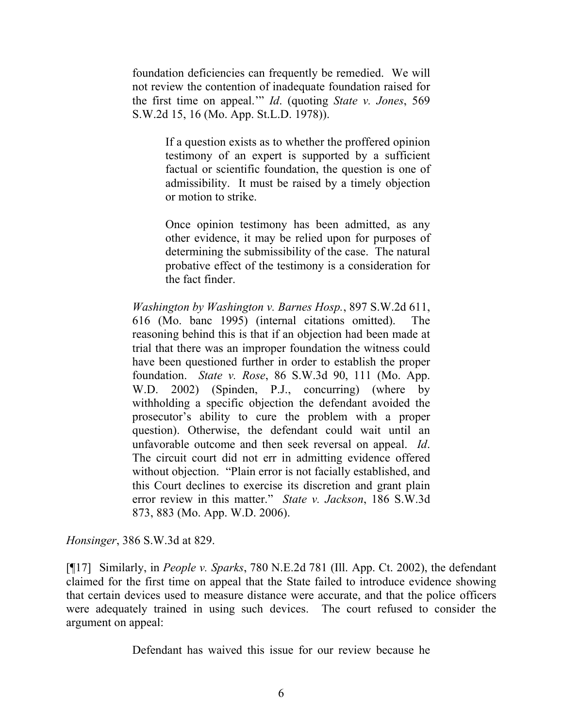foundation deficiencies can frequently be remedied. We will not review the contention of inadequate foundation raised for the first time on appeal.'" *Id*. (quoting *State v. Jones*, 569 S.W.2d 15, 16 (Mo. App. St.L.D. 1978)).

> If a question exists as to whether the proffered opinion testimony of an expert is supported by a sufficient factual or scientific foundation, the question is one of admissibility. It must be raised by a timely objection or motion to strike.

> Once opinion testimony has been admitted, as any other evidence, it may be relied upon for purposes of determining the submissibility of the case. The natural probative effect of the testimony is a consideration for the fact finder.

*Washington by Washington v. Barnes Hosp.*, 897 S.W.2d 611, 616 (Mo. banc 1995) (internal citations omitted). The reasoning behind this is that if an objection had been made at trial that there was an improper foundation the witness could have been questioned further in order to establish the proper foundation. *State v. Rose*, 86 S.W.3d 90, 111 (Mo. App. W.D. 2002) (Spinden, P.J., concurring) (where by withholding a specific objection the defendant avoided the prosecutor's ability to cure the problem with a proper question). Otherwise, the defendant could wait until an unfavorable outcome and then seek reversal on appeal. *Id*. The circuit court did not err in admitting evidence offered without objection. "Plain error is not facially established, and this Court declines to exercise its discretion and grant plain error review in this matter." *State v. Jackson*, 186 S.W.3d 873, 883 (Mo. App. W.D. 2006).

*Honsinger*, 386 S.W.3d at 829.

[¶17] Similarly, in *People v. Sparks*, 780 N.E.2d 781 (Ill. App. Ct. 2002), the defendant claimed for the first time on appeal that the State failed to introduce evidence showing that certain devices used to measure distance were accurate, and that the police officers were adequately trained in using such devices. The court refused to consider the argument on appeal:

Defendant has waived this issue for our review because he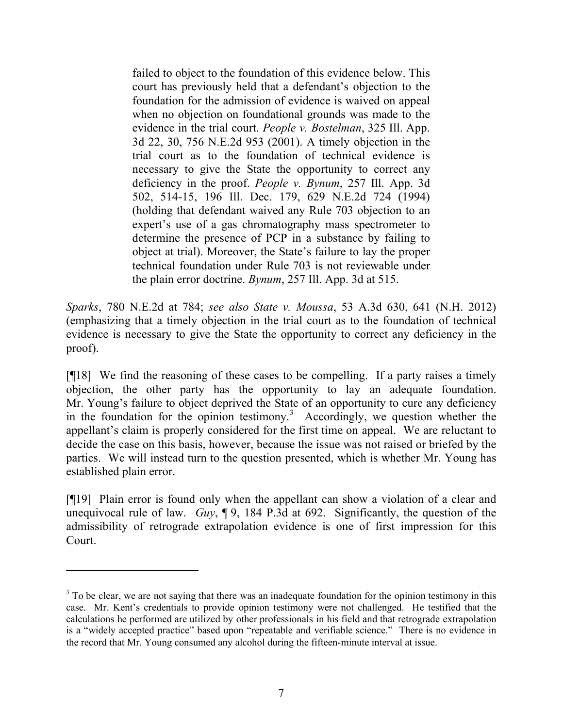failed to object to the foundation of this evidence below. This court has previously held that a defendant's objection to the foundation for the admission of evidence is waived on appeal when no objection on foundational grounds was made to the evidence in the trial court. *People v. Bostelman*, 325 Ill. App. 3d 22, 30, 756 N.E.2d 953 (2001). A timely objection in the trial court as to the foundation of technical evidence is necessary to give the State the opportunity to correct any deficiency in the proof. *People v. Bynum*, 257 Ill. App. 3d 502, 514-15, 196 Ill. Dec. 179, 629 N.E.2d 724 (1994) (holding that defendant waived any Rule 703 objection to an expert's use of a gas chromatography mass spectrometer to determine the presence of PCP in a substance by failing to object at trial). Moreover, the State's failure to lay the proper technical foundation under Rule 703 is not reviewable under the plain error doctrine. *Bynum*, 257 Ill. App. 3d at 515.

*Sparks*, 780 N.E.2d at 784; *see also State v. Moussa*, 53 A.3d 630, 641 (N.H. 2012) (emphasizing that a timely objection in the trial court as to the foundation of technical evidence is necessary to give the State the opportunity to correct any deficiency in the proof).

[¶18] We find the reasoning of these cases to be compelling. If a party raises a timely objection, the other party has the opportunity to lay an adequate foundation. Mr. Young's failure to object deprived the State of an opportunity to cure any deficiency in the foundation for the opinion testimony.<sup>3</sup> Accordingly, we question whether the appellant's claim is properly considered for the first time on appeal. We are reluctant to decide the case on this basis, however, because the issue was not raised or briefed by the parties. We will instead turn to the question presented, which is whether Mr. Young has established plain error.

[¶19] Plain error is found only when the appellant can show a violation of a clear and unequivocal rule of law. *Guy*, ¶ 9, 184 P.3d at 692. Significantly, the question of the admissibility of retrograde extrapolation evidence is one of first impression for this Court.

<sup>&</sup>lt;sup>3</sup> To be clear, we are not saying that there was an inadequate foundation for the opinion testimony in this case. Mr. Kent's credentials to provide opinion testimony were not challenged. He testified that the calculations he performed are utilized by other professionals in his field and that retrograde extrapolation is a "widely accepted practice" based upon "repeatable and verifiable science." There is no evidence in the record that Mr. Young consumed any alcohol during the fifteen-minute interval at issue.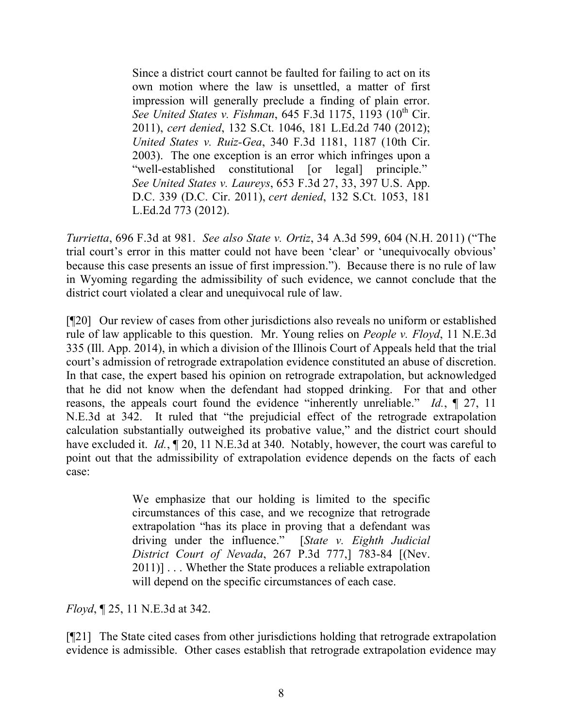Since a district court cannot be faulted for failing to act on its own motion where the law is unsettled, a matter of first impression will generally preclude a finding of plain error. *See United States v. Fishman, 645 F.3d 1175, 1193 (10<sup>th</sup> Cir.* 2011), *cert denied*, 132 S.Ct. 1046, 181 L.Ed.2d 740 (2012); *United States v. Ruiz-Gea*, 340 F.3d 1181, 1187 (10th Cir. 2003). The one exception is an error which infringes upon a "well-established constitutional [or legal] principle." *See United States v. Laureys*, 653 F.3d 27, 33, 397 U.S. App. D.C. 339 (D.C. Cir. 2011), *cert denied*, 132 S.Ct. 1053, 181 L.Ed.2d 773 (2012).

*Turrietta*, 696 F.3d at 981. *See also State v. Ortiz*, 34 A.3d 599, 604 (N.H. 2011) ("The trial court's error in this matter could not have been 'clear' or 'unequivocally obvious' because this case presents an issue of first impression."). Because there is no rule of law in Wyoming regarding the admissibility of such evidence, we cannot conclude that the district court violated a clear and unequivocal rule of law.

[¶20] Our review of cases from other jurisdictions also reveals no uniform or established rule of law applicable to this question. Mr. Young relies on *People v. Floyd*, 11 N.E.3d 335 (Ill. App. 2014), in which a division of the Illinois Court of Appeals held that the trial court's admission of retrograde extrapolation evidence constituted an abuse of discretion. In that case, the expert based his opinion on retrograde extrapolation, but acknowledged that he did not know when the defendant had stopped drinking. For that and other reasons, the appeals court found the evidence "inherently unreliable." *Id.*, ¶ 27, 11 N.E.3d at 342. It ruled that "the prejudicial effect of the retrograde extrapolation calculation substantially outweighed its probative value," and the district court should have excluded it. *Id.*, ¶ 20, 11 N.E.3d at 340. Notably, however, the court was careful to point out that the admissibility of extrapolation evidence depends on the facts of each case:

> We emphasize that our holding is limited to the specific circumstances of this case, and we recognize that retrograde extrapolation "has its place in proving that a defendant was driving under the influence." [*State v. Eighth Judicial District Court of Nevada*, 267 P.3d 777,] 783-84 [(Nev. 2011)] . . . Whether the State produces a reliable extrapolation will depend on the specific circumstances of each case.

*Floyd*, ¶ 25, 11 N.E.3d at 342.

[¶21] The State cited cases from other jurisdictions holding that retrograde extrapolation evidence is admissible. Other cases establish that retrograde extrapolation evidence may